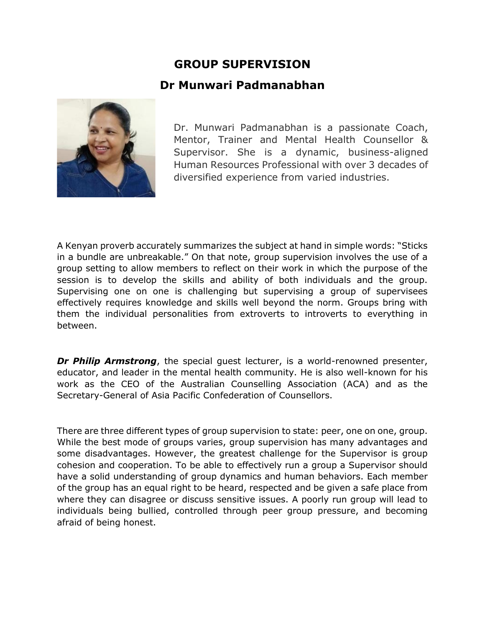## **GROUP SUPERVISION**

## **Dr Munwari Padmanabhan**



Dr. Munwari Padmanabhan is a passionate Coach, Mentor, Trainer and Mental Health Counsellor & Supervisor. She is a dynamic, business-aligned Human Resources Professional with over 3 decades of diversified experience from varied industries.

A Kenyan proverb accurately summarizes the subject at hand in simple words: "Sticks in a bundle are unbreakable." On that note, group supervision involves the use of a group setting to allow members to reflect on their work in which the purpose of the session is to develop the skills and ability of both individuals and the group. Supervising one on one is challenging but supervising a group of supervisees effectively requires knowledge and skills well beyond the norm. Groups bring with them the individual personalities from extroverts to introverts to everything in between.

*Dr Philip Armstrong*, the special quest lecturer, is a world-renowned presenter, educator, and leader in the mental health community. He is also well-known for his work as the CEO of the Australian Counselling Association (ACA) and as the Secretary-General of Asia Pacific Confederation of Counsellors.

There are three different types of group supervision to state: peer, one on one, group. While the best mode of groups varies, group supervision has many advantages and some disadvantages. However, the greatest challenge for the Supervisor is group cohesion and cooperation. To be able to effectively run a group a Supervisor should have a solid understanding of group dynamics and human behaviors. Each member of the group has an equal right to be heard, respected and be given a safe place from where they can disagree or discuss sensitive issues. A poorly run group will lead to individuals being bullied, controlled through peer group pressure, and becoming afraid of being honest.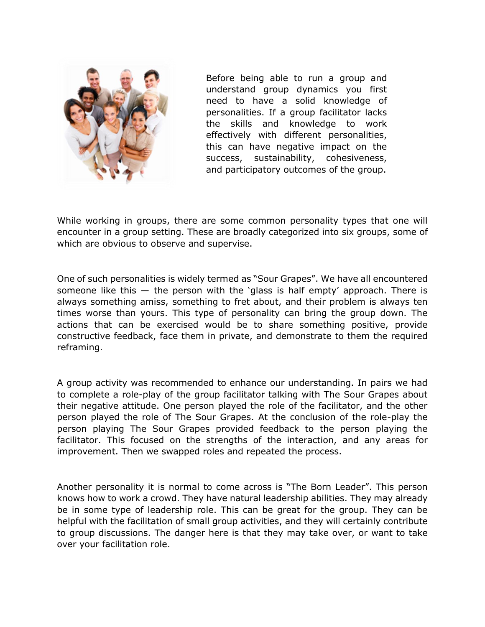

Before being able to run a group and understand group dynamics you first need to have a solid knowledge of personalities. If a group facilitator lacks the skills and knowledge to work effectively with different personalities, this can have negative impact on the success, sustainability, cohesiveness, and participatory outcomes of the group.

While working in groups, there are some common personality types that one will encounter in a group setting. These are broadly categorized into six groups, some of which are obvious to observe and supervise.

One of such personalities is widely termed as "Sour Grapes". We have all encountered someone like this  $-$  the person with the 'glass is half empty' approach. There is always something amiss, something to fret about, and their problem is always ten times worse than yours. This type of personality can bring the group down. The actions that can be exercised would be to share something positive, provide constructive feedback, face them in private, and demonstrate to them the required reframing.

A group activity was recommended to enhance our understanding. In pairs we had to complete a role-play of the group facilitator talking with The Sour Grapes about their negative attitude. One person played the role of the facilitator, and the other person played the role of The Sour Grapes. At the conclusion of the role-play the person playing The Sour Grapes provided feedback to the person playing the facilitator. This focused on the strengths of the interaction, and any areas for improvement. Then we swapped roles and repeated the process.

Another personality it is normal to come across is "The Born Leader". This person knows how to work a crowd. They have natural leadership abilities. They may already be in some type of leadership role. This can be great for the group. They can be helpful with the facilitation of small group activities, and they will certainly contribute to group discussions. The danger here is that they may take over, or want to take over your facilitation role.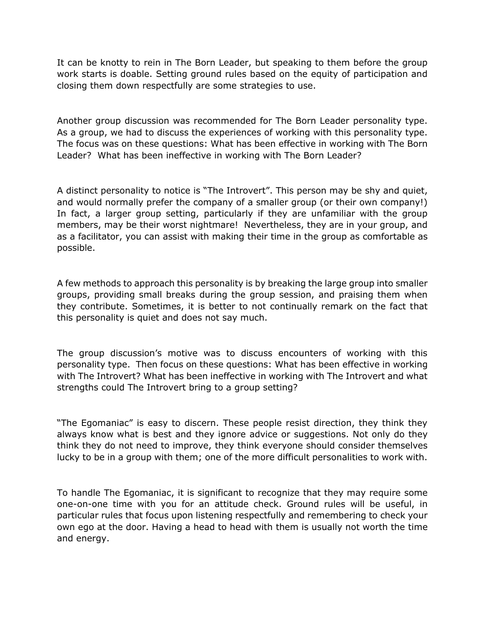It can be knotty to rein in The Born Leader, but speaking to them before the group work starts is doable. Setting ground rules based on the equity of participation and closing them down respectfully are some strategies to use.

Another group discussion was recommended for The Born Leader personality type. As a group, we had to discuss the experiences of working with this personality type. The focus was on these questions: What has been effective in working with The Born Leader? What has been ineffective in working with The Born Leader?

A distinct personality to notice is "The Introvert". This person may be shy and quiet, and would normally prefer the company of a smaller group (or their own company!) In fact, a larger group setting, particularly if they are unfamiliar with the group members, may be their worst nightmare! Nevertheless, they are in your group, and as a facilitator, you can assist with making their time in the group as comfortable as possible.

A few methods to approach this personality is by breaking the large group into smaller groups, providing small breaks during the group session, and praising them when they contribute. Sometimes, it is better to not continually remark on the fact that this personality is quiet and does not say much.

The group discussion's motive was to discuss encounters of working with this personality type. Then focus on these questions: What has been effective in working with The Introvert? What has been ineffective in working with The Introvert and what strengths could The Introvert bring to a group setting?

"The Egomaniac" is easy to discern. These people resist direction, they think they always know what is best and they ignore advice or suggestions. Not only do they think they do not need to improve, they think everyone should consider themselves lucky to be in a group with them; one of the more difficult personalities to work with.

To handle The Egomaniac, it is significant to recognize that they may require some one-on-one time with you for an attitude check. Ground rules will be useful, in particular rules that focus upon listening respectfully and remembering to check your own ego at the door. Having a head to head with them is usually not worth the time and energy.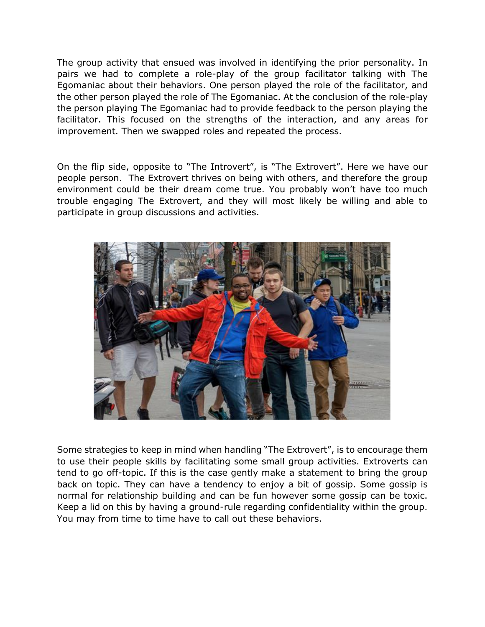The group activity that ensued was involved in identifying the prior personality. In pairs we had to complete a role-play of the group facilitator talking with The Egomaniac about their behaviors. One person played the role of the facilitator, and the other person played the role of The Egomaniac. At the conclusion of the role-play the person playing The Egomaniac had to provide feedback to the person playing the facilitator. This focused on the strengths of the interaction, and any areas for improvement. Then we swapped roles and repeated the process.

On the flip side, opposite to "The Introvert", is "The Extrovert". Here we have our people person. The Extrovert thrives on being with others, and therefore the group environment could be their dream come true. You probably won't have too much trouble engaging The Extrovert, and they will most likely be willing and able to participate in group discussions and activities.



Some strategies to keep in mind when handling "The Extrovert", is to encourage them to use their people skills by facilitating some small group activities. Extroverts can tend to go off-topic. If this is the case gently make a statement to bring the group back on topic. They can have a tendency to enjoy a bit of gossip. Some gossip is normal for relationship building and can be fun however some gossip can be toxic. Keep a lid on this by having a ground-rule regarding confidentiality within the group. You may from time to time have to call out these behaviors.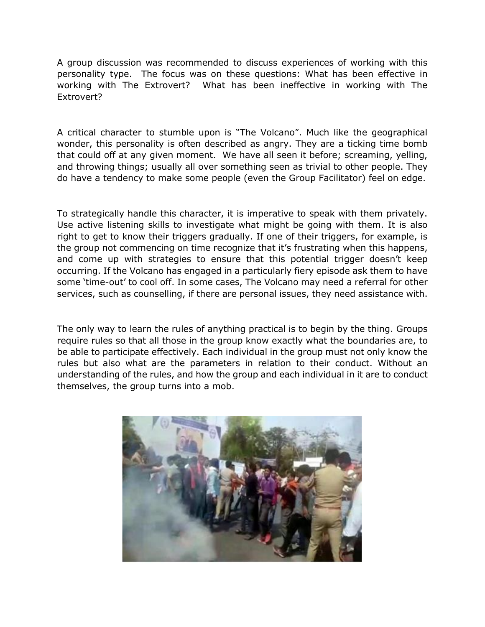A group discussion was recommended to discuss experiences of working with this personality type. The focus was on these questions: What has been effective in working with The Extrovert? What has been ineffective in working with The Extrovert?

A critical character to stumble upon is "The Volcano". Much like the geographical wonder, this personality is often described as angry. They are a ticking time bomb that could off at any given moment. We have all seen it before; screaming, yelling, and throwing things; usually all over something seen as trivial to other people. They do have a tendency to make some people (even the Group Facilitator) feel on edge.

To strategically handle this character, it is imperative to speak with them privately. Use active listening skills to investigate what might be going with them. It is also right to get to know their triggers gradually. If one of their triggers, for example, is the group not commencing on time recognize that it's frustrating when this happens, and come up with strategies to ensure that this potential trigger doesn't keep occurring. If the Volcano has engaged in a particularly fiery episode ask them to have some 'time-out' to cool off. In some cases, The Volcano may need a referral for other services, such as counselling, if there are personal issues, they need assistance with.

The only way to learn the rules of anything practical is to begin by the thing. Groups require rules so that all those in the group know exactly what the boundaries are, to be able to participate effectively. Each individual in the group must not only know the rules but also what are the parameters in relation to their conduct. Without an understanding of the rules, and how the group and each individual in it are to conduct themselves, the group turns into a mob.